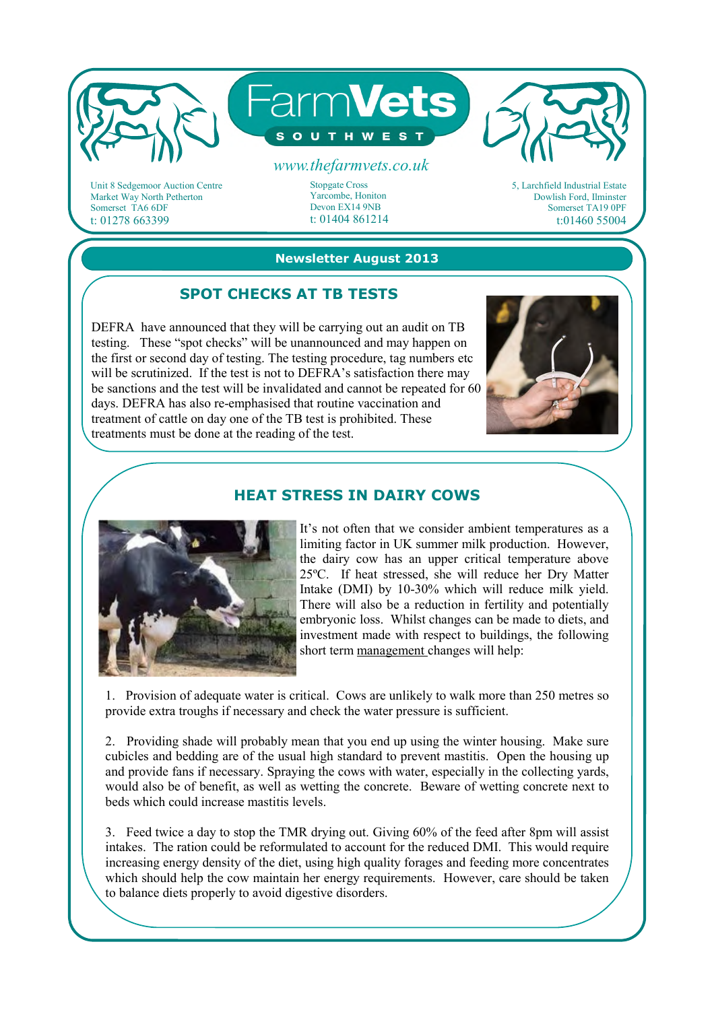

Unit 8 Sedgemoor Auction Centre Market Way North Petherton Somerset TA6 6DF t: 01278 663399

Stopgate Cross Yarcombe, Honiton Devon EX14 9NB t: 01404 861214 5, Larchfield Industrial Estate Dowlish Ford, Ilminster Somerset TA19 0PF t:01460 55004

#### **Newsletter August 2013**

# **SPOT CHECKS AT TB TESTS**

DEFRA have announced that they will be carrying out an audit on TB testing. These "spot checks" will be unannounced and may happen on the first or second day of testing. The testing procedure, tag numbers etc will be scrutinized. If the test is not to DEFRA's satisfaction there may be sanctions and the test will be invalidated and cannot be repeated for 60 days. DEFRA has also re-emphasised that routine vaccination and treatment of cattle on day one of the TB test is prohibited. These treatments must be done at the reading of the test.



### **HEAT STRESS IN DAIRY COWS**



It's not often that we consider ambient temperatures as a limiting factor in UK summer milk production. However, the dairy cow has an upper critical temperature above 25ºC. If heat stressed, she will reduce her Dry Matter Intake (DMI) by 10-30% which will reduce milk yield. There will also be a reduction in fertility and potentially embryonic loss. Whilst changes can be made to diets, and investment made with respect to buildings, the following short term management changes will help:

1. Provision of adequate water is critical. Cows are unlikely to walk more than 250 metres so provide extra troughs if necessary and check the water pressure is sufficient.

2. Providing shade will probably mean that you end up using the winter housing. Make sure cubicles and bedding are of the usual high standard to prevent mastitis. Open the housing up and provide fans if necessary. Spraying the cows with water, especially in the collecting yards, would also be of benefit, as well as wetting the concrete. Beware of wetting concrete next to beds which could increase mastitis levels.

3. Feed twice a day to stop the TMR drying out. Giving 60% of the feed after 8pm will assist intakes. The ration could be reformulated to account for the reduced DMI. This would require increasing energy density of the diet, using high quality forages and feeding more concentrates which should help the cow maintain her energy requirements. However, care should be taken to balance diets properly to avoid digestive disorders.